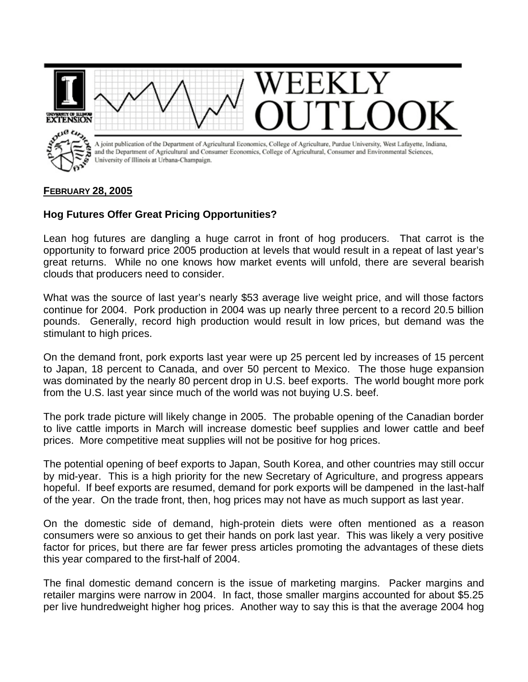

## **FEBRUARY 28, 2005**

## **Hog Futures Offer Great Pricing Opportunities?**

Lean hog futures are dangling a huge carrot in front of hog producers. That carrot is the opportunity to forward price 2005 production at levels that would result in a repeat of last year's great returns. While no one knows how market events will unfold, there are several bearish clouds that producers need to consider.

What was the source of last year's nearly \$53 average live weight price, and will those factors continue for 2004. Pork production in 2004 was up nearly three percent to a record 20.5 billion pounds. Generally, record high production would result in low prices, but demand was the stimulant to high prices.

On the demand front, pork exports last year were up 25 percent led by increases of 15 percent to Japan, 18 percent to Canada, and over 50 percent to Mexico. The those huge expansion was dominated by the nearly 80 percent drop in U.S. beef exports. The world bought more pork from the U.S. last year since much of the world was not buying U.S. beef.

The pork trade picture will likely change in 2005. The probable opening of the Canadian border to live cattle imports in March will increase domestic beef supplies and lower cattle and beef prices. More competitive meat supplies will not be positive for hog prices.

The potential opening of beef exports to Japan, South Korea, and other countries may still occur by mid-year. This is a high priority for the new Secretary of Agriculture, and progress appears hopeful. If beef exports are resumed, demand for pork exports will be dampened in the last-half of the year. On the trade front, then, hog prices may not have as much support as last year.

On the domestic side of demand, high-protein diets were often mentioned as a reason consumers were so anxious to get their hands on pork last year. This was likely a very positive factor for prices, but there are far fewer press articles promoting the advantages of these diets this year compared to the first-half of 2004.

The final domestic demand concern is the issue of marketing margins. Packer margins and retailer margins were narrow in 2004. In fact, those smaller margins accounted for about \$5.25 per live hundredweight higher hog prices. Another way to say this is that the average 2004 hog